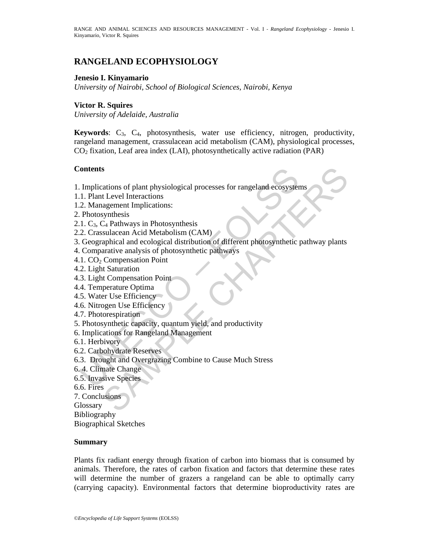# **RANGELAND ECOPHYSIOLOGY**

### **Jenesio I. Kinyamario**

*University of Nairobi, School of Biological Sciences, Nairobi, Kenya* 

### **Victor R. Squires**

*University of Adelaide, Australia* 

**Keywords**: C3, C4, photosynthesis, water use efficiency, nitrogen, productivity, rangeland management, crassulacean acid metabolism (CAM), physiological processes,  $CO<sub>2</sub>$  fixation, Leaf area index (LAI), photosynthetically active radiation (PAR)

### **Contents**

Formalism of plant physiological processes for rangeland ecosyster<br>
1. Plant Level Interactions<br>
2. Management Implications:<br>
2. Management Implications:<br>
1. C<sub>3</sub>, C<sub>4</sub> Pathways in Photosynthesis<br>
2. Crassulacean Acid Meta 1. Implications of plant physiological processes for rangeland ecosystems

- 1.1. Plant Level Interactions
- 1.2. Management Implications:
- 2. Photosynthesis
- 2.1.  $C_3$ ,  $C_4$  Pathways in Photosynthesis
- 2.2. Crassulacean Acid Metabolism (CAM)
- s<br>
ations of plant physiological processes for rangeland ecosystems<br>
Level Interactions<br>
agement Implications:<br>
C<sub>4</sub> Pathways in Photosynthesis<br>
synthesis<br>
synthesis<br>
applical and ecological distribution of different photo 3. Geographical and ecological distribution of different photosynthetic pathway plants
- 4. Comparative analysis of photosynthetic pathways
- 4.1.  $CO<sub>2</sub>$  Compensation Point
- 4.2. Light Saturation
- 4.3. Light Compensation Point
- 4.4. Temperature Optima
- 4.5. Water Use Efficiency
- 4.6. Nitrogen Use Efficiency
- 4.7. Photorespiration
- 5. Photosynthetic capacity, quantum yield, and productivity
- 6. Implications for Rangeland Management
- 6.1. Herbivory
- 6.2. Carbohydrate Reserves
- 6.3. Drought and Overgrazing Combine to Cause Much Stress
- 6. 4. Climate Change
- 6.5. Invasive Species
- 6.6. Fires
- 7. Conclusions

**Glossary** 

Bibliography

Biographical Sketches

#### **Summary**

Plants fix radiant energy through fixation of carbon into biomass that is consumed by animals. Therefore, the rates of carbon fixation and factors that determine these rates will determine the number of grazers a rangeland can be able to optimally carry (carrying capacity). Environmental factors that determine bioproductivity rates are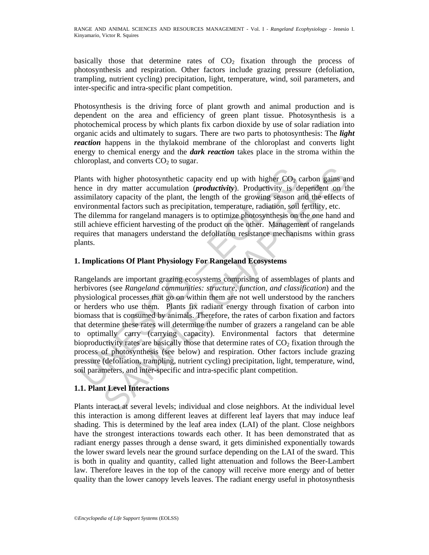basically those that determine rates of  $CO<sub>2</sub>$  fixation through the process of photosynthesis and respiration. Other factors include grazing pressure (defoliation, trampling, nutrient cycling) precipitation, light, temperature, wind, soil parameters, and inter-specific and intra-specific plant competition.

Photosynthesis is the driving force of plant growth and animal production and is dependent on the area and efficiency of green plant tissue. Photosynthesis is a photochemical process by which plants fix carbon dioxide by use of solar radiation into organic acids and ultimately to sugars. There are two parts to photosynthesis: The *light reaction* happens in the thylakoid membrane of the chloroplast and converts light energy to chemical energy and the *dark reaction* takes place in the stroma within the chloroplast, and converts  $CO<sub>2</sub>$  to sugar.

Plants with higher photosynthetic capacity end up with higher  $CO<sub>2</sub>$  carbon gains and hence in dry matter accumulation (*productivity*). Productivity is dependent on the assimilatory capacity of the plant, the length of the growing season and the effects of environmental factors such as precipitation, temperature, radiation, soil fertility, etc. The dilemma for rangeland managers is to optimize photosynthesis on the one hand and still achieve efficient harvesting of the product on the other. Management of rangelands requires that managers understand the defoliation resistance mechanisms within grass plants.

### **1. Implications Of Plant Physiology For Rangeland Ecosystems**

lants with higher photosynthetic capacity end up with higher CO<sub>2</sub><br>ence in dry matter accumulation (*productivity*). Productivity is d<br>sisimilatory capacity of the plant, the length of the growing season a<br>sivindromental f ith higher photosynthetic capacity end up with higher  $CO_2$  carbon gains an dry matter accumulation *(productivity*). Productivity is dependent on the ory capacity of the plant, the length of the growing season and the ef Rangelands are important grazing ecosystems comprising of assemblages of plants and herbivores (see *Rangeland communities: structure, function, and classification*) and the physiological processes that go on within them are not well understood by the ranchers or herders who use them. Plants fix radiant energy through fixation of carbon into biomass that is consumed by animals. Therefore, the rates of carbon fixation and factors that determine these rates will determine the number of grazers a rangeland can be able to optimally carry (carrying capacity). Environmental factors that determine bioproductivity rates are basically those that determine rates of  $CO<sub>2</sub>$  fixation through the process of photosynthesis (see below) and respiration. Other factors include grazing pressure (defoliation, trampling, nutrient cycling) precipitation, light, temperature, wind, soil parameters, and inter-specific and intra-specific plant competition.

# **1.1. Plant Level Interactions**

Plants interact at several levels; individual and close neighbors. At the individual level this interaction is among different leaves at different leaf layers that may induce leaf shading. This is determined by the leaf area index (LAI) of the plant. Close neighbors have the strongest interactions towards each other. It has been demonstrated that as radiant energy passes through a dense sward, it gets diminished exponentially towards the lower sward levels near the ground surface depending on the LAI of the sward. This is both in quality and quantity, called light attenuation and follows the Beer-Lambert law. Therefore leaves in the top of the canopy will receive more energy and of better quality than the lower canopy levels leaves. The radiant energy useful in photosynthesis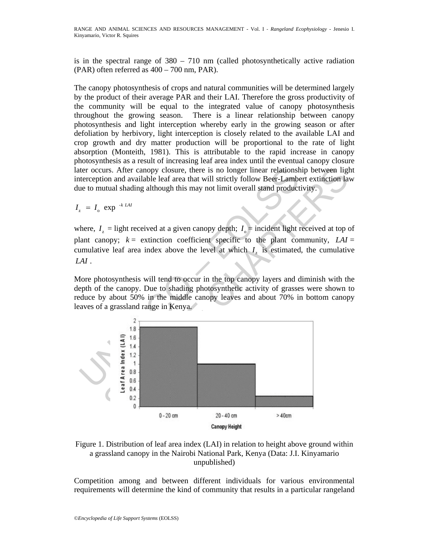RANGE AND ANIMAL SCIENCES AND RESOURCES MANAGEMENT *-* Vol. I ‐ *Rangeland Ecophysiology* - Jenesio I. Kinyamario, Victor R. Squires

is in the spectral range of  $380 - 710$  nm (called photosynthetically active radiation (PAR) often referred as 400 – 700 nm, PAR).

The canopy photosynthesis of crops and natural communities will be determined largely by the product of their average PAR and their LAI. Therefore the gross productivity of the community will be equal to the integrated value of canopy photosynthesis throughout the growing season. There is a linear relationship between canopy photosynthesis and light interception whereby early in the growing season or after defoliation by herbivory, light interception is closely related to the available LAI and crop growth and dry matter production will be proportional to the rate of light absorption (Monteith, 1981). This is attributable to the rapid increase in canopy photosynthesis as a result of increasing leaf area index until the eventual canopy closure later occurs. After canopy closure, there is no longer linear relationship between light interception and available leaf area that will strictly follow Beer-Lambert extinction law due to mutual shading although this may not limit overall stand productivity.

 $I_z = I_o \exp^{-k L A I}$ 

where,  $I_z$  = light received at a given canopy depth;  $I_0$  = incident light received at top of plant canopy;  $k =$  extinction coefficient specific to the plant community,  $LAI =$ cumulative leaf area index above the level at which  $I<sub>z</sub>$  is estimated, the cumulative *LAI* .

More photosynthesis will tend to occur in the top canopy layers and diminish with the depth of the canopy. Due to shading photosynthetic activity of grasses were shown to reduce by about 50% in the middle canopy leaves and about 70% in bottom canopy leaves of a grassland range in Kenya.



Figure 1. Distribution of leaf area index (LAI) in relation to height above ground within a grassland canopy in the Nairobi National Park, Kenya (Data: J.I. Kinyamario unpublished)

Competition among and between different individuals for various environmental requirements will determine the kind of community that results in a particular rangeland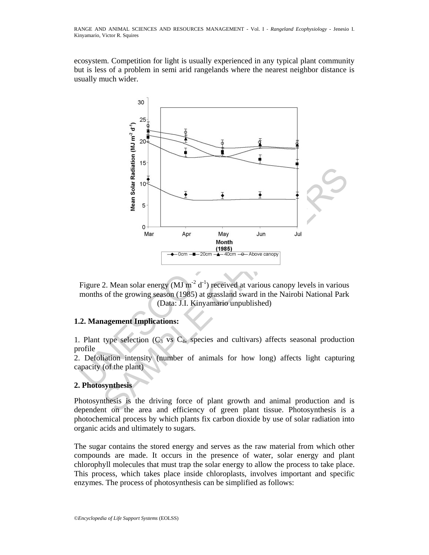ecosystem. Competition for light is usually experienced in any typical plant community but is less of a problem in semi arid rangelands where the nearest neighbor distance is usually much wider.



Figure 2. Mean solar energy  $(MJ \text{ m}^{-2} d^{-1})$  received at various canopy levels in various months of the growing season (1985) at grassland sward in the Nairobi National Park (Data: J.I. Kinyamario unpublished)

# **1.2. Management Implications:**

1. Plant type selection  $(C_3$  vs  $C_4$ , species and cultivars) affects seasonal production profile

2. Defoliation intensity (number of animals for how long) affects light capturing capacity (of the plant)

# **2. Photosynthesis**

Photosynthesis is the driving force of plant growth and animal production and is dependent on the area and efficiency of green plant tissue. Photosynthesis is a photochemical process by which plants fix carbon dioxide by use of solar radiation into organic acids and ultimately to sugars.

The sugar contains the stored energy and serves as the raw material from which other compounds are made. It occurs in the presence of water, solar energy and plant chlorophyll molecules that must trap the solar energy to allow the process to take place. This process, which takes place inside chloroplasts, involves important and specific enzymes. The process of photosynthesis can be simplified as follows: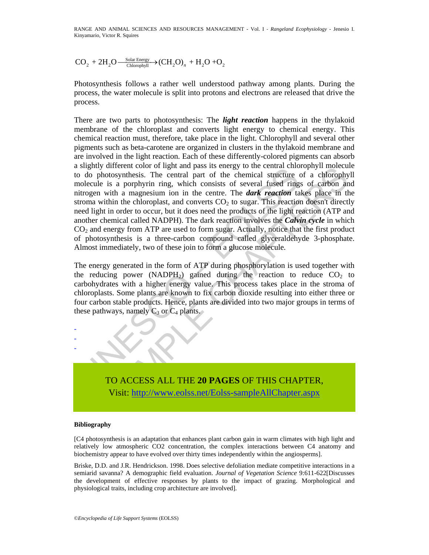RANGE AND ANIMAL SCIENCES AND RESOURCES MANAGEMENT *-* Vol. I ‐ *Rangeland Ecophysiology* - Jenesio I. Kinyamario, Victor R. Squires

$$
CO_2 + 2H_2O \xrightarrow{\_ \text{Clar Energy} \_} (CH_2O)_n + H_2O + O_2
$$

Photosynthesis follows a rather well understood pathway among plants. During the process, the water molecule is split into protons and electrons are released that drive the process.

signary united tool or ngan an pass is clearly to an<br>elastation of the chemical structure of the chemical structure of<br>notesynthesis. The central part of the chemical structure of<br>notice is a porphyrin ring, which consist The mean control in the center of the channel contocynthesis. The central pair and pass its elength of the channel canonical structure of a chorophy in more channel constant and particle in the channel of the channel with There are two parts to photosynthesis: The *light reaction* happens in the thylakoid membrane of the chloroplast and converts light energy to chemical energy. This chemical reaction must, therefore, take place in the light. Chlorophyll and several other pigments such as beta-carotene are organized in clusters in the thylakoid membrane and are involved in the light reaction. Each of these differently-colored pigments can absorb a slightly different color of light and pass its energy to the central chlorophyll molecule to do photosynthesis. The central part of the chemical structure of a chlorophyll molecule is a porphyrin ring, which consists of several fused rings of carbon and nitrogen with a magnesium ion in the centre. The *dark reaction* takes place in the stroma within the chloroplast, and converts  $CO<sub>2</sub>$  to sugar. This reaction doesn't directly need light in order to occur, but it does need the products of the light reaction (ATP and another chemical called NADPH). The dark reaction involves the *Calvin cycle* in which  $CO<sub>2</sub>$  and energy from ATP are used to form sugar. Actually, notice that the first product of photosynthesis is a three-carbon compound called glyceraldehyde 3-phosphate. Almost immediately, two of these join to form a glucose molecule.

The energy generated in the form of ATP during phosphorylation is used together with the reducing power (NADPH<sub>2</sub>) gained during the reaction to reduce  $CO<sub>2</sub>$  to carbohydrates with a higher energy value. This process takes place in the stroma of chloroplasts. Some plants are known to fix carbon dioxide resulting into either three or four carbon stable products. Hence, plants are divided into two major groups in terms of these pathways, namely  $C_3$  or  $C_4$  plants.



#### **Bibliography**

- - -

[C4 photosynthesis is an adaptation that enhances plant carbon gain in warm climates with high light and relatively low atmospheric CO2 concentration, the complex interactions between C4 anatomy and biochemistry appear to have evolved over thirty times independently within the angiosperms].

Briske, D.D. and J.R. Hendrickson. 1998. Does selective defoliation mediate competitive interactions in a semiarid savanna? A demographic field evaluation. *Journal of Vegetation Science* 9:611-622[Discusses the development of effective responses by plants to the impact of grazing. Morphological and physiological traits, including crop architecture are involved].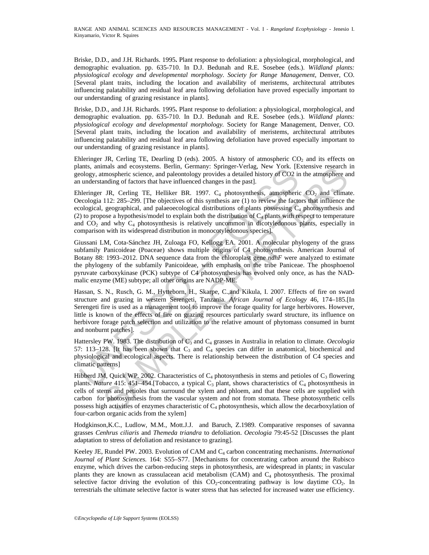Briske, D.D., and J.H. Richards. 1995**.** Plant response to defoliation: a physiological, morphological, and demographic evaluation. pp. 635-710. In D.J. Bedunah and R.E. Sosebee (eds.). *Wildland plants: physiological ecology and developmental morphology. Society for Range Management*, Denver, CO. [Several plant traits, including the location and availability of meristems, architectural attributes influencing palatability and residual leaf area following defoliation have proved especially important to our understanding of grazing resistance in plants].

Briske, D.D., and J.H. Richards. 1995**.** Plant response to defoliation: a physiological, morphological, and demographic evaluation. pp. 635-710. In D.J. Bedunah and R.E. Sosebee (eds.). *Wildland plants: physiological ecology and developmental morphology.* Society for Range Management, Denver, CO. [Several plant traits, including the location and availability of meristems, architectural attributes influencing palatability and residual leaf area following defoliation have proved especially important to our understanding of grazing resistance in plants].

Ehleringer JR, Cerling TE, Dearling D (eds). 2005. A history of atmospheric  $CO<sub>2</sub>$  and its effects on plants, animals and ecosystems. Berlin, Germany: Springer-Verlag, New York. [Extensive research in geology, atmospheric science, and paleontology provides a detailed history of CO2 in the atmosphere and an understanding of factors that have influenced changes in the past].

and expansion and excosystems. Berlin, Germany. Spiniget-velag, twew fork. IEE understanding of factors that have influenced changes in the past].<br>
bleiringer JR, Cerling TE, Helliker BR. 1997. C<sub>4</sub> photosynthesis, atmosp mas and ecosystems. Bernit, Gremany: Sponger-Vertag, New YorK. [Extensive researcon<br>monpheric science, and paleontology provides a detailed history of CO2 in the atmosphere are<br>anding of factors that have influenced chang Ehleringer JR, Cerling TE, Helliker BR. 1997.  $C_4$  photosynthesis, atmospheric  $CO_2$  and climate. Oecologia 112: 285–299. [The objectives of this synthesis are (1) to review the factors that influence the ecological, geographical, and palaeoecological distributions of plants possessing  $C_4$  photosynthesis and (2) to propose a hypothesis/model to explain both the distribution of  $C_4$  plants with respect to temperature and  $CO<sub>2</sub>$  and why  $C<sub>4</sub>$  photosynthesis is relatively uncommon in dicotyledonous plants, especially in comparison with its widespread distribution in monocotyledonous species].

Giussani LM, Cota-Sánchez JH, Zuloaga FO, Kellogg EA. 2001. A molecular phylogeny of the grass subfamily Panicoideae (Poaceae) shows multiple origins of C4 photosynthesis. American Journal of Botany 88: 1993–2012. DNA sequence data from the chloroplast gene *ndhF* were analyzed to estimate the phylogeny of the subfamily Panicoideae, with emphasis on the tribe Paniceae. The phosphoenol pyruvate carboxykinase (PCK) subtype of C4 photosynthesis has evolved only once, as has the NADmalic enzyme (ME) subtype; all other origins are NADP-ME.

Hassan, S. N., Rusch, G. M., Hytteborn, H., Skarpe, C.,and Kikula, I. 2007. Effects of fire on sward structure and grazing in western Serengeti, Tanzania. *African Journal of Ecology* 46, 174–185.[In Serengeti fire is used as a management tool to improve the forage quality for large herbivores. However, little is known of the effects of fire on grazing resources particularly sward structure, its influence on herbivore forage patch selection and utilization to the relative amount of phytomass consumed in burnt and nonburnt patches].

Hattersley PW. 1983. The distribution of C<sub>3</sub> and C<sub>4</sub> grasses in Australia in relation to climate. *Oecologia* 57: 113–128. [It has been shown that  $C_3$  and  $C_4$  species can differ in anatomical, biochemical and physiological and ecological aspects. There is relationship between the distribution of C4 species and climatic patterns]

Hibberd JM, Quick WP. 2002. Characteristics of  $C_4$  photosynthesis in stems and petioles of  $C_3$  flowering plants. *Nature* 415: 451–454.[Tobacco, a typical  $C_3$  plant, shows characteristics of  $C_4$  photosynthesis in cells of stems and petioles that surround the xylem and phloem, and that these cells are supplied with carbon for photosynthesis from the vascular system and not from stomata. These photosynthetic cells possess high activities of enzymes characteristic of  $C_4$  photosynthesis, which allow the decarboxylation of four-carbon organic acids from the xylem]

Hodgkinson,K.C., Ludlow, M.M., Mott.J.J. and Baruch, Z.1989. Comparative responses of savanna grasses *Cenhrus ciliaris* and *Themeda triandra* to defoliation. *Oecologia* 79:45-52 [Discusses the plant adaptation to stress of defoliation and resistance to grazing].

Keeley JE, Rundel PW. 2003. Evolution of CAM and C4 carbon concentrating mechanisms. *International Journal of Plant Sciences.* 164: S55–S77. [Mechanisms for concentrating carbon around the Rubisco enzyme, which drives the carbon-reducing steps in photosynthesis, are widespread in plants; in vascular plants they are known as crassulacean acid metabolism (CAM) and  $C_4$  photosynthesis. The proximal selective factor driving the evolution of this  $CO_2$ -concentrating pathway is low daytime  $CO_2$ . In terrestrials the ultimate selective factor is water stress that has selected for increased water use efficiency.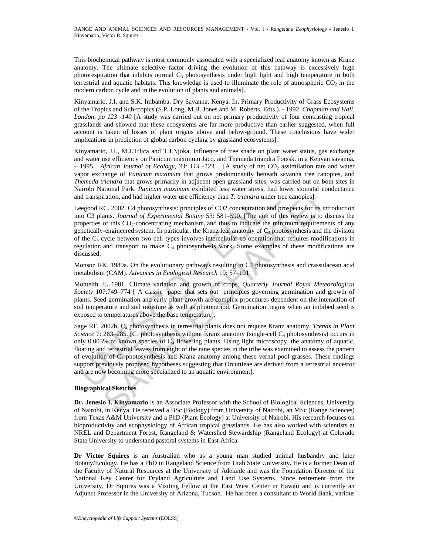This biochemical pathway is most commonly associated with a specialized leaf anatomy known as Kranz anatomy. The ultimate selective factor driving the evolution of this pathway is excessively high photorespiration that inhibits normal  $C_3$  photosynthesis under high light and high temperature in both terrestrial and aquatic habitats. This knowledge is used to illuminate the role of atmospheric  $CO<sub>2</sub>$  in the modern carbon cycle and in the evolution of plants and animals].

Kinyamario, J.I. and S.K. Imbamba. Dry Savanna, Kenya. In, Primary Productivity of Grass Ecosystems of the Tropics and Sub-tropics (S.P**.** Long, M.B. Jones and M. Roberts, Edts.). - 1992 *Chapman and Hall, London, pp 123 -140* [A study was carried out on net primary productivity of four contrasting tropical grasslands and showed that these ecosystems are far more productive than earlier suggested, when full account is taken of losses of plant organs above and below-ground. These conclusions have wider implications in prediction of global carbon cycling by grassland ecosystems].

Kinyamario, J.I., M.J.Trlica and T.J.Njoka. Influence of tree shade on plant water status, gas exchange and water use efficiency on Panicum maximum Jacq. and Themeda triandra Forssk. in a Kenyan savanna**.**  - 1995 *African Journal of Ecology, 33: 114 -123.* [A study of net CO<sub>2</sub> assimilation rate and water vapor exchange of *Panicum maximum* that grows predominantly beneath savanna tree canopies, and *Themeda triandra* that grows primarily in adjacent open grassland sites, was carried out on both sites in Nairobi National Park. *Panicum maximum* exhibited less water stress, had lower stomatal conductance and transpiration, and had higher water use efficiency than *T. triandra* under tree canopies].

Leegood RC. 2002. C4 photosynthesis: principles of CO2 concentration and prospects for its introduction into C3 plants. *Journal of Experimental Botany* 53: 581–590. [The aim of this review is to discuss the properties of this CO<sub>2</sub>-concentrating mechanism, and thus to indicate the minimum requirements of any genetically-engineered system. In particular, the Kranz leaf anatomy of  $C_4$  photosynthesis and the division of the  $C_4$ -cycle between two cell types involves intercellular co-operation that requires modifications in regulation and transport to make  $C_4$  photosynthesis work. Some examples of these modifications are discussed.

Monson RK. 1989a. On the evolutionary pathways resulting in C4 photosynthesis and crassulacean acid metabolism (CAM). *Advances in Ecological Research* 19: 57–101.

Monteith JL 1981. Climate variation and growth of crops. *Quarterly Journal Royal Meteorological Society* 107:749–774 [ A classic paper that sets out principles governing germination and growth of plants. Seed germination and early plant growth are complex procedures dependent on the interaction of soil temperature and soil moisture as well as photoperiod. Germination begins when an imbibed seed is exposed to temperatures above the base temperature].

1995<br>
1997 - Apricum Journal of Lecongy, 53: 114 +125. [14 stug of the CO<sub>2</sub> assimilated from exchange of *Panicum maximum* that grows predominantly beneath savananameleand riandra that grows primarily in adjacent open gr Aprenti *on-mand op Ecotogy, 35: 114-123*. [A stuay on the UC<sub>2</sub> assummation rate and was<br>hrange of *Panicum maximum* that grows predominantly beneath savana tree canopies, an<br>anage of *Panicum maximum* that grows predomi Sage RF. 2002b. C4 photosynthesis in terrestrial plants does not require Kranz anatomy. *Trends in Plant Science* 7: 283–285. [C4 photosynthesis without Kranz anatomy (single-cell C4 photosynthesis) occurs in only 0.003% of known species of  $C_4$  flowering plants. Using light microscopy, the anatomy of aquatic, floating and terrestrial leaves from eight of the nine species in the tribe was examined to assess the pattern of evolution of  $C_4$  photosynthesis and Kranz anatomy among these vernal pool grasses. These findings support previously proposed hypotheses suggesting that Orcuttieae are derived from a terrestrial ancestor and are now becoming more specialized to an aquatic environment].

#### **Biographical Sketches**

**Dr. Jenesio I. Kinyamario** is an Associate Professor with the School of Biological Sciences, University of Nairobi, in Kenya. He received a BSc (Biology) from University of Nairobi, an MSc (Range Sciences) from Texas A&M University and a PhD (Plant Ecology) at University of Nairobi. His research focuses on bioproductivity and ecophysiology of African tropical grasslands. He has also worked with scientists at NREL and Department Forest, Rangeland & Watershed Stewardship (Rangeland Ecology) at Colorado State University to understand pastoral systems in East Africa.

**Dr Victor Squires** is an Australian who as a young man studied animal husbandry and later Botany/Ecology. He has a PhD in Rangeland Science from Utah State University**.** He is a former Dean of the Faculty of Natural Resources at the University of Adelaide and was the Foundation Director of the National Key Center for Dryland Agriculture and Land Use Systems. Since retirement from the University, Dr Squires was a Visiting Fellow at the East West Center in Hawaii and is currently an Adjunct Professor in the University of Arizona, Tucson. He has been a consultant to World Bank, various